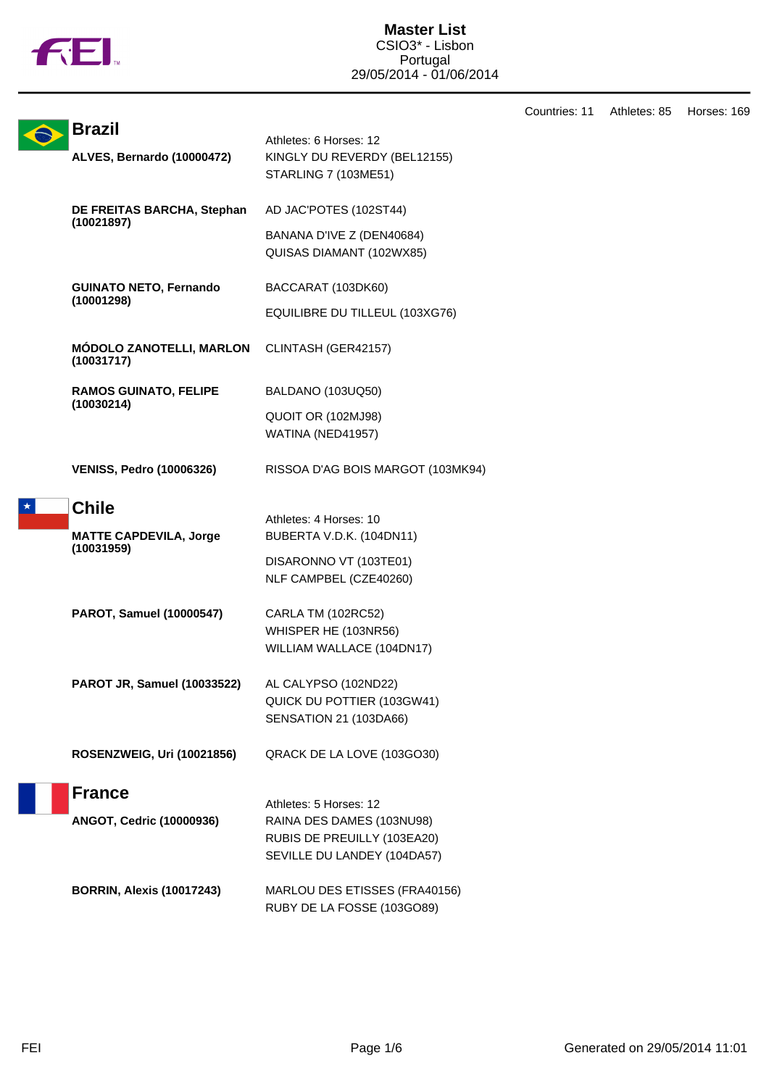

Countries: 11 Athletes: 85 Horses: 169

|  | <b>Brazil</b>                                 | Athletes: 6 Horses: 12                                      |
|--|-----------------------------------------------|-------------------------------------------------------------|
|  | ALVES, Bernardo (10000472)                    | KINGLY DU REVERDY (BEL12155)<br><b>STARLING 7 (103ME51)</b> |
|  | DE FREITAS BARCHA, Stephan<br>(10021897)      | AD JAC'POTES (102ST44)                                      |
|  |                                               | BANANA D'IVE Z (DEN40684)<br>QUISAS DIAMANT (102WX85)       |
|  | <b>GUINATO NETO, Fernando</b><br>(10001298)   | BACCARAT (103DK60)                                          |
|  |                                               | EQUILIBRE DU TILLEUL (103XG76)                              |
|  | <b>MÓDOLO ZANOTELLI, MARLON</b><br>(10031717) | CLINTASH (GER42157)                                         |
|  | <b>RAMOS GUINATO, FELIPE</b><br>(10030214)    | BALDANO (103UQ50)                                           |
|  |                                               | QUOIT OR (102MJ98)<br>WATINA (NED41957)                     |
|  | <b>VENISS, Pedro (10006326)</b>               | RISSOA D'AG BOIS MARGOT (103MK94)                           |
|  | <b>Chile</b>                                  | Athletes: 4 Horses: 10                                      |
|  | <b>MATTE CAPDEVILA, Jorge</b><br>(10031959)   | BUBERTA V.D.K. (104DN11)                                    |
|  |                                               | DISARONNO VT (103TE01)<br>NLF CAMPBEL (CZE40260)            |
|  | <b>PAROT, Samuel (10000547)</b>               | CARLA TM (102RC52)                                          |
|  |                                               | WHISPER HE (103NR56)<br>WILLIAM WALLACE (104DN17)           |
|  |                                               |                                                             |
|  | <b>PAROT JR, Samuel (10033522)</b>            | AL CALYPSO (102ND22)<br>QUICK DU POTTIER (103GW41)          |
|  |                                               | SENSATION 21 (103DA66)                                      |
|  | <b>ROSENZWEIG, Uri (10021856)</b>             | QRACK DE LA LOVE (103GO30)                                  |
|  | <b>France</b>                                 | Athletes: 5 Horses: 12                                      |
|  | ANGOT, Cedric (10000936)                      | RAINA DES DAMES (103NU98)                                   |
|  |                                               | RUBIS DE PREUILLY (103EA20)<br>SEVILLE DU LANDEY (104DA57)  |
|  | <b>BORRIN, Alexis (10017243)</b>              | MARLOU DES ETISSES (FRA40156)<br>RUBY DE LA FOSSE (103GO89) |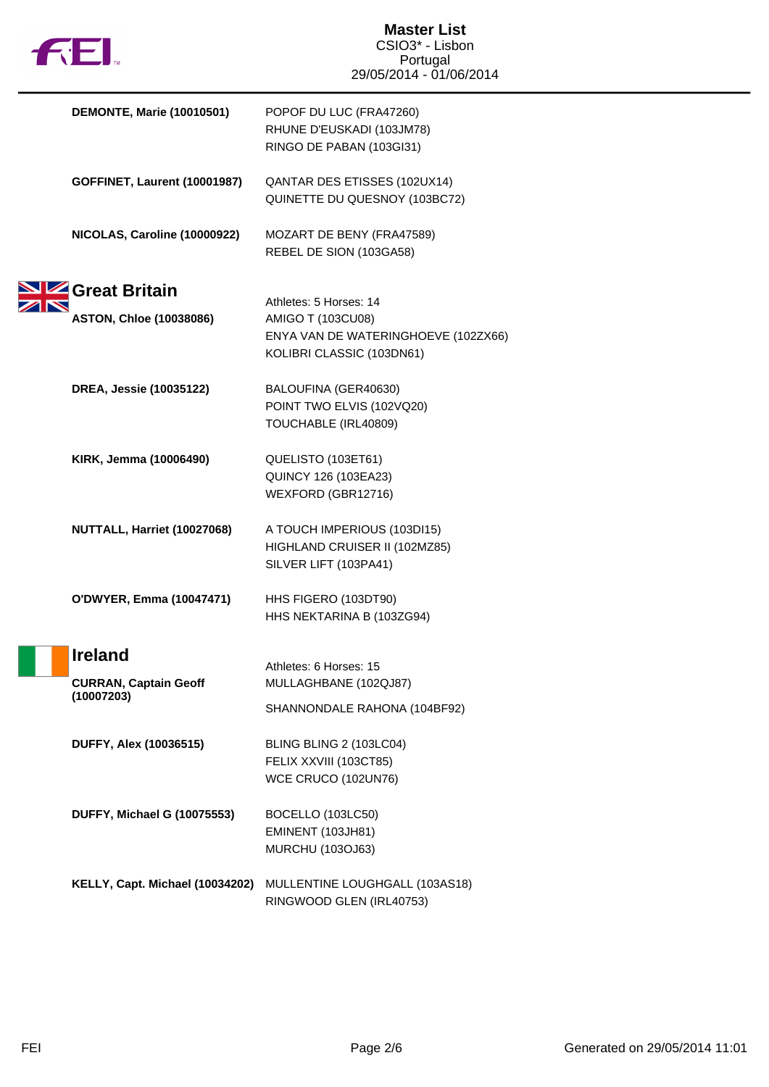| <b>1321.</b> |                                            | <b>Master List</b><br>CSIO3* - Lisbon |  |
|--------------|--------------------------------------------|---------------------------------------|--|
|              |                                            | Portugal                              |  |
|              |                                            | 29/05/2014 - 01/06/2014               |  |
|              | <b>DEMONTE, Marie (10010501)</b>           | POPOF DU LUC (FRA47260)               |  |
|              |                                            | RHUNE D'EUSKADI (103JM78)             |  |
|              |                                            | RINGO DE PABAN (103GI31)              |  |
|              | <b>GOFFINET, Laurent (10001987)</b>        | QANTAR DES ETISSES (102UX14)          |  |
|              |                                            | QUINETTE DU QUESNOY (103BC72)         |  |
|              | NICOLAS, Caroline (10000922)               | MOZART DE BENY (FRA47589)             |  |
|              |                                            | REBEL DE SION (103GA58)               |  |
|              | <b>Fz</b> Great Britain                    |                                       |  |
|              |                                            | Athletes: 5 Horses: 14                |  |
|              | <b>ASTON, Chloe (10038086)</b>             | AMIGO T (103CU08)                     |  |
|              |                                            | ENYA VAN DE WATERINGHOEVE (102ZX66)   |  |
|              |                                            | KOLIBRI CLASSIC (103DN61)             |  |
|              | DREA, Jessie (10035122)                    | BALOUFINA (GER40630)                  |  |
|              |                                            | POINT TWO ELVIS (102VQ20)             |  |
|              |                                            | TOUCHABLE (IRL40809)                  |  |
|              | KIRK, Jemma (10006490)                     | QUELISTO (103ET61)                    |  |
|              |                                            | QUINCY 126 (103EA23)                  |  |
|              |                                            | WEXFORD (GBR12716)                    |  |
|              | NUTTALL, Harriet (10027068)                | A TOUCH IMPERIOUS (103DI15)           |  |
|              |                                            | HIGHLAND CRUISER II (102MZ85)         |  |
|              |                                            | SILVER LIFT (103PA41)                 |  |
|              | O'DWYER, Emma (10047471)                   | HHS FIGERO (103DT90)                  |  |
|              |                                            | HHS NEKTARINA B (103ZG94)             |  |
|              | <b>Ireland</b>                             |                                       |  |
|              |                                            | Athletes: 6 Horses: 15                |  |
|              | <b>CURRAN, Captain Geoff</b><br>(10007203) | MULLAGHBANE (102QJ87)                 |  |
|              |                                            | SHANNONDALE RAHONA (104BF92)          |  |
|              | <b>DUFFY, Alex (10036515)</b>              | BLING BLING 2 (103LC04)               |  |
|              |                                            | FELIX XXVIII (103CT85)                |  |
|              |                                            | WCE CRUCO (102UN76)                   |  |
|              | <b>DUFFY, Michael G (10075553)</b>         | BOCELLO (103LC50)                     |  |
|              |                                            | <b>EMINENT (103JH81)</b>              |  |
|              |                                            | <b>MURCHU (103OJ63)</b>               |  |
|              | KELLY, Capt. Michael (10034202)            | MULLENTINE LOUGHGALL (103AS18)        |  |
|              |                                            | RINGWOOD GLEN (IRL40753)              |  |
|              |                                            |                                       |  |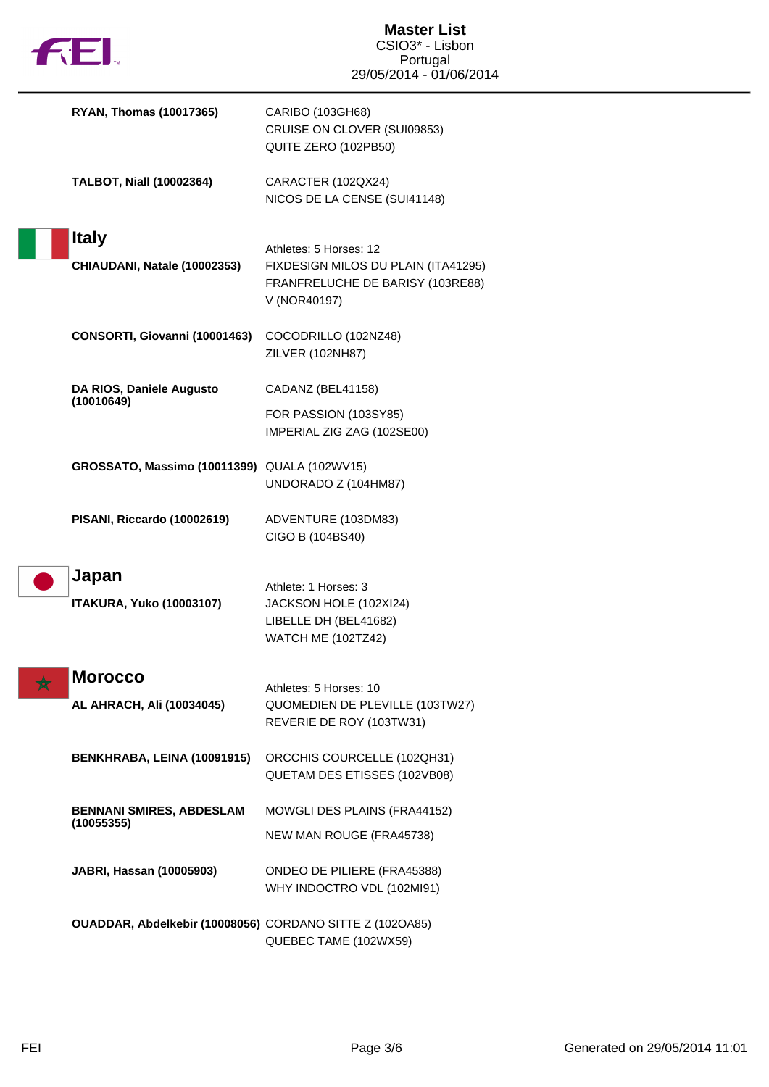

| <b>RYAN, Thomas (10017365)</b>                           | CARIBO (103GH68)<br>CRUISE ON CLOVER (SUI09853)<br>QUITE ZERO (102PB50)                       |
|----------------------------------------------------------|-----------------------------------------------------------------------------------------------|
| <b>TALBOT, Niall (10002364)</b>                          | CARACTER (102QX24)<br>NICOS DE LA CENSE (SUI41148)                                            |
| <b>Italy</b>                                             | Athletes: 5 Horses: 12                                                                        |
| CHIAUDANI, Natale (10002353)                             | FIXDESIGN MILOS DU PLAIN (ITA41295)<br>FRANFRELUCHE DE BARISY (103RE88)<br>V (NOR40197)       |
| CONSORTI, Giovanni (10001463)                            | COCODRILLO (102NZ48)<br>ZILVER (102NH87)                                                      |
| DA RIOS, Daniele Augusto                                 | CADANZ (BEL41158)                                                                             |
| (10010649)                                               | FOR PASSION (103SY85)<br>IMPERIAL ZIG ZAG (102SE00)                                           |
| GROSSATO, Massimo (10011399) QUALA (102WV15)             | UNDORADO Z (104HM87)                                                                          |
| PISANI, Riccardo (10002619)                              | ADVENTURE (103DM83)<br>CIGO B (104BS40)                                                       |
| Japan<br><b>ITAKURA, Yuko (10003107)</b>                 | Athlete: 1 Horses: 3<br>JACKSON HOLE (102XI24)<br>LIBELLE DH (BEL41682)<br>WATCH ME (102TZ42) |
| <b>Morocco</b>                                           |                                                                                               |
| AL AHRACH, Ali (10034045)                                | Athletes: 5 Horses: 10<br>QUOMEDIEN DE PLEVILLE (103TW27)<br>REVERIE DE ROY (103TW31)         |
| BENKHRABA, LEINA (10091915)                              | ORCCHIS COURCELLE (102QH31)<br>QUETAM DES ETISSES (102VB08)                                   |
| <b>BENNANI SMIRES, ABDESLAM</b>                          | MOWGLI DES PLAINS (FRA44152)                                                                  |
| (10055355)                                               | NEW MAN ROUGE (FRA45738)                                                                      |
| JABRI, Hassan (10005903)                                 | ONDEO DE PILIERE (FRA45388)<br>WHY INDOCTRO VDL (102MI91)                                     |
| OUADDAR, Abdelkebir (10008056) CORDANO SITTE Z (102OA85) | QUEBEC TAME (102WX59)                                                                         |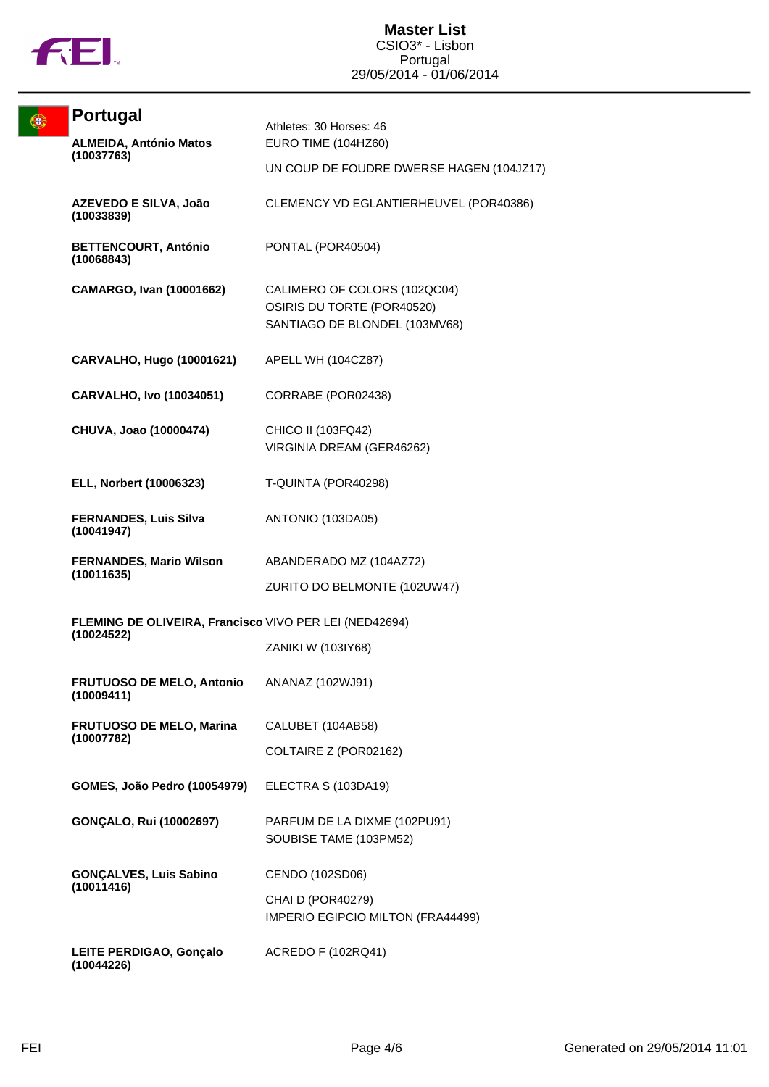

| Q | <b>Portugal</b>                                                      | Athletes: 30 Horses: 46                                                                     |
|---|----------------------------------------------------------------------|---------------------------------------------------------------------------------------------|
|   | <b>ALMEIDA, António Matos</b><br>(10037763)                          | EURO TIME (104HZ60)                                                                         |
|   |                                                                      | UN COUP DE FOUDRE DWERSE HAGEN (104JZ17)                                                    |
|   | AZEVEDO E SILVA, João<br>(10033839)                                  | CLEMENCY VD EGLANTIERHEUVEL (POR40386)                                                      |
|   | <b>BETTENCOURT, António</b><br>(10068843)                            | PONTAL (POR40504)                                                                           |
|   | <b>CAMARGO, Ivan (10001662)</b>                                      | CALIMERO OF COLORS (102QC04)<br>OSIRIS DU TORTE (POR40520)<br>SANTIAGO DE BLONDEL (103MV68) |
|   | <b>CARVALHO, Hugo (10001621)</b>                                     | APELL WH (104CZ87)                                                                          |
|   | <b>CARVALHO, Ivo (10034051)</b>                                      | CORRABE (POR02438)                                                                          |
|   | CHUVA, Joao (10000474)                                               | CHICO II (103FQ42)<br>VIRGINIA DREAM (GER46262)                                             |
|   | ELL, Norbert (10006323)                                              | T-QUINTA (POR40298)                                                                         |
|   | <b>FERNANDES, Luis Silva</b><br>(10041947)                           | ANTONIO (103DA05)                                                                           |
|   | <b>FERNANDES, Mario Wilson</b><br>(10011635)                         | ABANDERADO MZ (104AZ72)                                                                     |
|   |                                                                      | ZURITO DO BELMONTE (102UW47)                                                                |
|   | FLEMING DE OLIVEIRA, Francisco VIVO PER LEI (NED42694)<br>(10024522) |                                                                                             |
|   |                                                                      | ZANIKI W (103IY68)                                                                          |
|   | FRUTUOSO DE MELO, Antonio<br>(10009411)                              | ANANAZ (102WJ91)                                                                            |
|   | FRUTUOSO DE MELO, Marina<br>(10007782)                               | CALUBET (104AB58)                                                                           |
|   |                                                                      | COLTAIRE Z (POR02162)                                                                       |
|   | <b>GOMES, João Pedro (10054979)</b>                                  | ELECTRA S (103DA19)                                                                         |
|   | <b>GONÇALO, Rui (10002697)</b>                                       | PARFUM DE LA DIXME (102PU91)<br>SOUBISE TAME (103PM52)                                      |
|   | <b>GONÇALVES, Luis Sabino</b><br>(10011416)                          | CENDO (102SD06)                                                                             |
|   |                                                                      | CHAI D (POR40279)<br>IMPERIO EGIPCIO MILTON (FRA44499)                                      |
|   | LEITE PERDIGAO, Gonçalo<br>(10044226)                                | ACREDO F (102RQ41)                                                                          |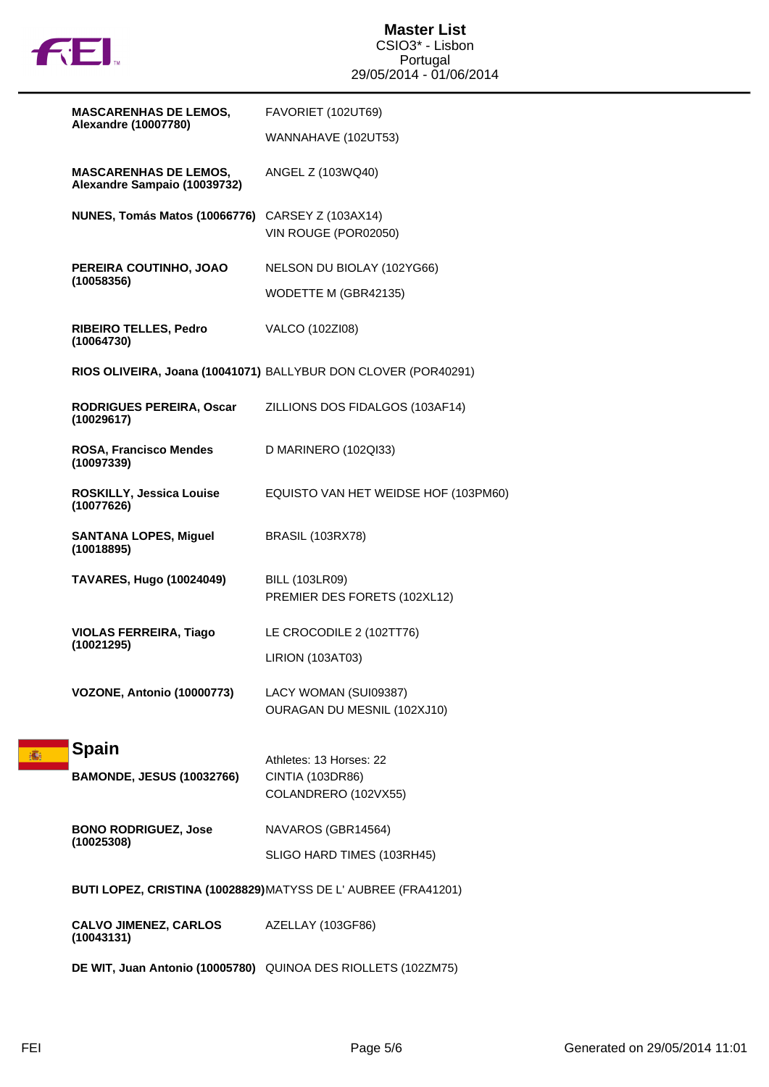

| <b>MASCARENHAS DE LEMOS,</b><br><b>Alexandre (10007780)</b>  | FAVORIET (102UT69)                                             |
|--------------------------------------------------------------|----------------------------------------------------------------|
|                                                              | WANNAHAVE (102UT53)                                            |
| <b>MASCARENHAS DE LEMOS,</b><br>Alexandre Sampaio (10039732) | ANGEL Z (103WQ40)                                              |
| NUNES, Tomás Matos (10066776)                                | CARSEY Z (103AX14)<br>VIN ROUGE (POR02050)                     |
| PEREIRA COUTINHO, JOAO<br>(10058356)                         | NELSON DU BIOLAY (102YG66)                                     |
|                                                              | WODETTE M (GBR42135)                                           |
| RIBEIRO TELLES, Pedro<br>(10064730)                          | VALCO (102ZI08)                                                |
|                                                              | RIOS OLIVEIRA, Joana (10041071) BALLYBUR DON CLOVER (POR40291) |
| RODRIGUES PEREIRA, Oscar<br>(10029617)                       | ZILLIONS DOS FIDALGOS (103AF14)                                |
| ROSA, Francisco Mendes<br>(10097339)                         | D MARINERO (102QI33)                                           |
| ROSKILLY, Jessica Louise<br>(10077626)                       | EQUISTO VAN HET WEIDSE HOF (103PM60)                           |
| <b>SANTANA LOPES, Miguel</b><br>(10018895)                   | <b>BRASIL (103RX78)</b>                                        |
| <b>TAVARES, Hugo (10024049)</b>                              | <b>BILL (103LR09)</b><br>PREMIER DES FORETS (102XL12)          |
| <b>VIOLAS FERREIRA, Tiago</b><br>(10021295)                  | LE CROCODILE 2 (102TT76)                                       |
|                                                              | LIRION (103AT03)                                               |
| VOZONE, Antonio (10000773)                                   | LACY WOMAN (SUI09387)<br>OURAGAN DU MESNIL (102XJ10)           |
| <b>Spain</b>                                                 |                                                                |
| <b>BAMONDE, JESUS (10032766)</b>                             | Athletes: 13 Horses: 22<br>CINTIA (103DR86)                    |
|                                                              | COLANDRERO (102VX55)                                           |
| <b>BONO RODRIGUEZ, Jose</b><br>(10025308)                    | NAVAROS (GBR14564)                                             |
|                                                              | SLIGO HARD TIMES (103RH45)                                     |
|                                                              | BUTI LOPEZ, CRISTINA (10028829) MATYSS DE L'AUBREE (FRA41201)  |
| <b>CALVO JIMENEZ, CARLOS</b><br>(10043131)                   | AZELLAY (103GF86)                                              |
|                                                              | DE WIT, Juan Antonio (10005780) QUINOA DES RIOLLETS (102ZM75)  |

赛